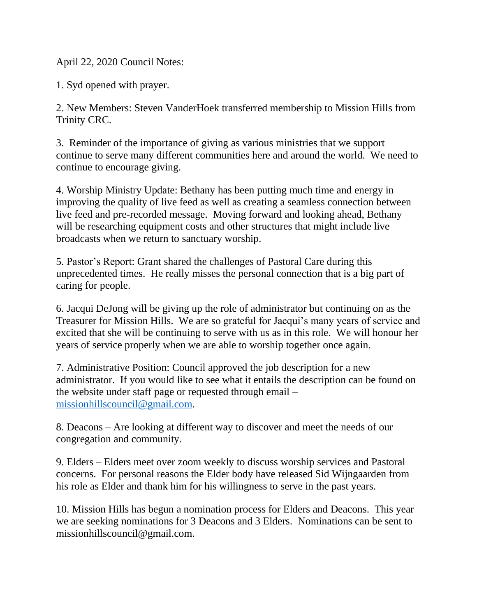April 22, 2020 Council Notes:

1. Syd opened with prayer.

2. New Members: Steven VanderHoek transferred membership to Mission Hills from Trinity CRC.

3. Reminder of the importance of giving as various ministries that we support continue to serve many different communities here and around the world. We need to continue to encourage giving.

4. Worship Ministry Update: Bethany has been putting much time and energy in improving the quality of live feed as well as creating a seamless connection between live feed and pre-recorded message. Moving forward and looking ahead, Bethany will be researching equipment costs and other structures that might include live broadcasts when we return to sanctuary worship.

5. Pastor's Report: Grant shared the challenges of Pastoral Care during this unprecedented times. He really misses the personal connection that is a big part of caring for people.

6. Jacqui DeJong will be giving up the role of administrator but continuing on as the Treasurer for Mission Hills. We are so grateful for Jacqui's many years of service and excited that she will be continuing to serve with us as in this role. We will honour her years of service properly when we are able to worship together once again.

7. Administrative Position: Council approved the job description for a new administrator. If you would like to see what it entails the description can be found on the website under staff page or requested through email – [missionhillscouncil@gmail.com.](mailto:missionhillscouncil@gmail.com)

8. Deacons – Are looking at different way to discover and meet the needs of our congregation and community.

9. Elders – Elders meet over zoom weekly to discuss worship services and Pastoral concerns. For personal reasons the Elder body have released Sid Wijngaarden from his role as Elder and thank him for his willingness to serve in the past years.

10. Mission Hills has begun a nomination process for Elders and Deacons. This year we are seeking nominations for 3 Deacons and 3 Elders. Nominations can be sent to missionhillscouncil@gmail.com.